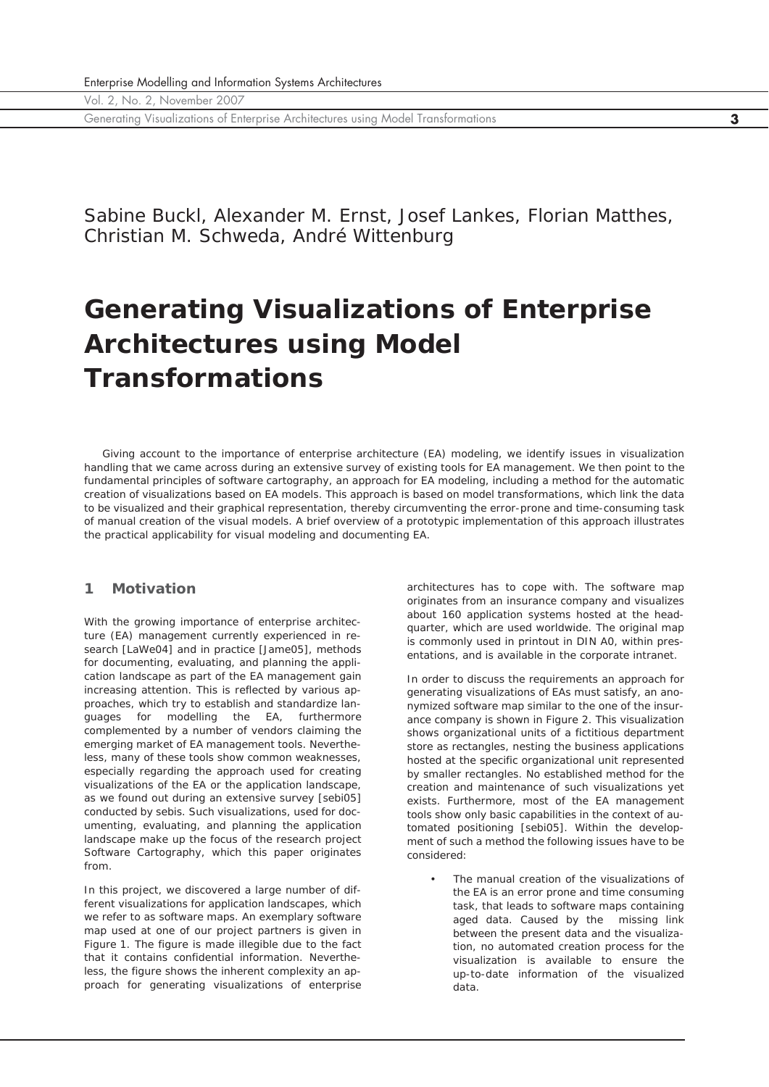Generating Visualizations of Enterprise Architectures using Model Transformations **3**

Sabine Buckl, Alexander M. Ernst, Josef Lankes, Florian Matthes, Christian M. Schweda, André Wittenburg

# **Generating Visualizations of Enterprise Architectures using Model Transformations**

*Giving account to the importance of enterprise architecture (EA) modeling, we identify issues in visualization handling that we came across during an extensive survey of existing tools for EA management. We then point to the fundamental principles of software cartography, an approach for EA modeling, including a method for the automatic creation of visualizations based on EA models. This approach is based on model transformations, which link the data to be visualized and their graphical representation, thereby circumventing the error-prone and time-consuming task of manual creation of the visual models. A brief overview of a prototypic implementation of this approach illustrates the practical applicability for visual modeling and documenting EA.*

## **1 Motivation**

With the growing importance of enterprise architecture (EA) management currently experienced in research [LaWe04] and in practice [Jame05], methods for documenting, evaluating, and planning the application landscape as part of the EA management gain increasing attention. This is reflected by various approaches, which try to establish and standardize languages for modelling the EA, furthermore complemented by a number of vendors claiming the emerging market of EA management tools. Nevertheless, many of these tools show common weaknesses, especially regarding the approach used for creating visualizations of the EA or the application landscape, as we found out during an extensive survey [sebi05] conducted by sebis. Such visualizations, used for documenting, evaluating, and planning the application landscape make up the focus of the research project Software Cartography, which this paper originates from.

In this project, we discovered a large number of different visualizations for application landscapes, which we refer to as software maps. An exemplary software map used at one of our project partners is given in Figure 1. The figure is made illegible due to the fact that it contains confidential information. Nevertheless, the figure shows the inherent complexity an approach for generating visualizations of enterprise

architectures has to cope with. The software map originates from an insurance company and visualizes about 160 application systems hosted at the headquarter, which are used worldwide. The original map is commonly used in printout in DIN A0, within presentations, and is available in the corporate intranet.

In order to discuss the requirements an approach for generating visualizations of EAs must satisfy, an anonymized software map similar to the one of the insurance company is shown in Figure 2. This visualization shows organizational units of a fictitious department store as rectangles, nesting the business applications hosted at the specific organizational unit represented by smaller rectangles. No established method for the creation and maintenance of such visualizations yet exists. Furthermore, most of the EA management tools show only basic capabilities in the context of automated positioning [sebi05]. Within the development of such a method the following issues have to be considered:

• The manual creation of the visualizations of the EA is an error prone and time consuming task, that leads to software maps containing aged data. Caused by the missing link between the present data and the visualization, no automated creation process for the visualization is available to ensure the up-to-date information of the visualized data.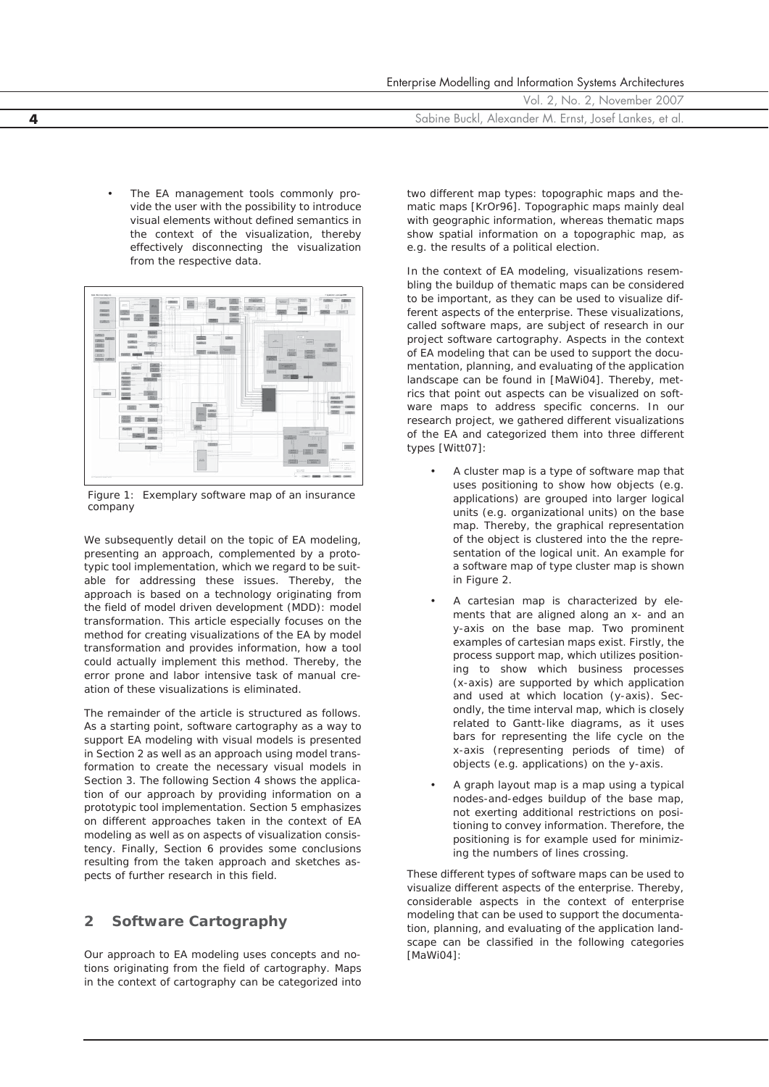| Enterprise Modelling and Information Systems Architectures |
|------------------------------------------------------------|
| Vol. 2, No. 2, November 2007                               |
| Sabine Buckl, Alexander M. Ernst, Josef Lankes, et al.     |

The EA management tools commonly provide the user with the possibility to introduce visual elements without defined semantics in the context of the visualization, thereby effectively disconnecting the visualization from the respective data.



*Figure 1: Exemplary software map of an insurance company*

We subsequently detail on the topic of EA modeling, presenting an approach, complemented by a prototypic tool implementation, which we regard to be suitable for addressing these issues. Thereby, the approach is based on a technology originating from the field of model driven development (MDD): model transformation. This article especially focuses on the method for creating visualizations of the EA by model transformation and provides information, how a tool could actually implement this method. Thereby, the error prone and labor intensive task of manual creation of these visualizations is eliminated.

The remainder of the article is structured as follows. As a starting point, software cartography as a way to support EA modeling with visual models is presented in Section 2 as well as an approach using model transformation to create the necessary visual models in Section 3. The following Section 4 shows the application of our approach by providing information on a prototypic tool implementation. Section 5 emphasizes on different approaches taken in the context of EA modeling as well as on aspects of visualization consistency. Finally, Section 6 provides some conclusions resulting from the taken approach and sketches aspects of further research in this field.

## **2 Software Cartography**

Our approach to EA modeling uses concepts and notions originating from the field of cartography. Maps in the context of cartography can be categorized into two different map types: topographic maps and thematic maps [KrOr96]. Topographic maps mainly deal with geographic information, whereas thematic maps show spatial information on a topographic map, as e.g. the results of a political election.

In the context of EA modeling, visualizations resembling the buildup of thematic maps can be considered to be important, as they can be used to visualize different aspects of the enterprise. These visualizations, called software maps, are subject of research in our project software cartography. Aspects in the context of EA modeling that can be used to support the documentation, planning, and evaluating of the application landscape can be found in [MaWi04]. Thereby, metrics that point out aspects can be visualized on software maps to address specific concerns. In our research project, we gathered different visualizations of the EA and categorized them into three different types [Witt07]:

- A cluster map is a type of software map that uses positioning to show how objects (e.g. applications) are grouped into larger logical units (e.g. organizational units) on the base map. Thereby, the graphical representation of the object is clustered into the the representation of the logical unit. An example for a software map of type cluster map is shown in Figure 2.
- A cartesian map is characterized by elements that are aligned along an x- and an y-axis on the base map. Two prominent examples of cartesian maps exist. Firstly, the process support map, which utilizes positioning to show which business processes (x-axis) are supported by which application and used at which location (y-axis). Secondly, the time interval map, which is closely related to Gantt-like diagrams, as it uses bars for representing the life cycle on the x-axis (representing periods of time) of objects (e.g. applications) on the y-axis.
- A graph layout map is a map using a typical nodes-and-edges buildup of the base map, not exerting additional restrictions on positioning to convey information. Therefore, the positioning is for example used for minimizing the numbers of lines crossing.

These different types of software maps can be used to visualize different aspects of the enterprise. Thereby, considerable aspects in the context of enterprise modeling that can be used to support the documentation, planning, and evaluating of the application landscape can be classified in the following categories [MaWi04]: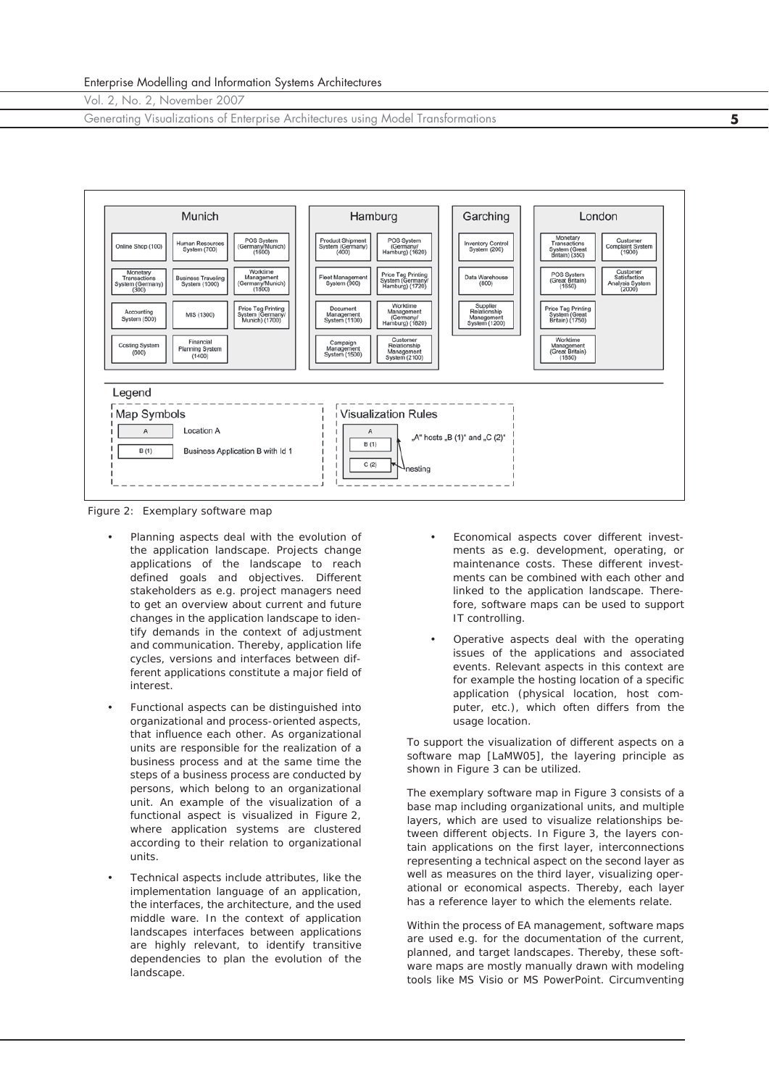Generating Visualizations of Enterprise Architectures using Model Transformations **5**



*Figure 2: Exemplary software map*

- Planning aspects deal with the evolution of the application landscape. Projects change applications of the landscape to reach defined goals and objectives. Different stakeholders as e.g. project managers need to get an overview about current and future changes in the application landscape to identify demands in the context of adjustment and communication. Thereby, application life cycles, versions and interfaces between different applications constitute a major field of interest.
- Functional aspects can be distinguished into organizational and process-oriented aspects, that influence each other. As organizational units are responsible for the realization of a business process and at the same time the steps of a business process are conducted by persons, which belong to an organizational unit. An example of the visualization of a functional aspect is visualized in Figure 2, where application systems are clustered according to their relation to organizational units.
- Technical aspects include attributes, like the implementation language of an application, the interfaces, the architecture, and the used middle ware. In the context of application landscapes interfaces between applications are highly relevant, to identify transitive dependencies to plan the evolution of the landscape.
- Economical aspects cover different investments as e.g. development, operating, or maintenance costs. These different investments can be combined with each other and linked to the application landscape. Therefore, software maps can be used to support IT controlling.
- Operative aspects deal with the operating issues of the applications and associated events. Relevant aspects in this context are for example the hosting location of a specific application (physical location, host computer, etc.), which often differs from the usage location.

To support the visualization of different aspects on a software map [LaMW05], the layering principle as shown in Figure 3 can be utilized.

The exemplary software map in Figure 3 consists of a base map including organizational units, and multiple layers, which are used to visualize relationships between different objects. In Figure 3, the layers contain applications on the first layer, interconnections representing a technical aspect on the second layer as well as measures on the third layer, visualizing operational or economical aspects. Thereby, each layer has a reference layer to which the elements relate.

Within the process of EA management, software maps are used e.g. for the documentation of the current, planned, and target landscapes. Thereby, these software maps are mostly manually drawn with modeling tools like MS Visio or MS PowerPoint. Circumventing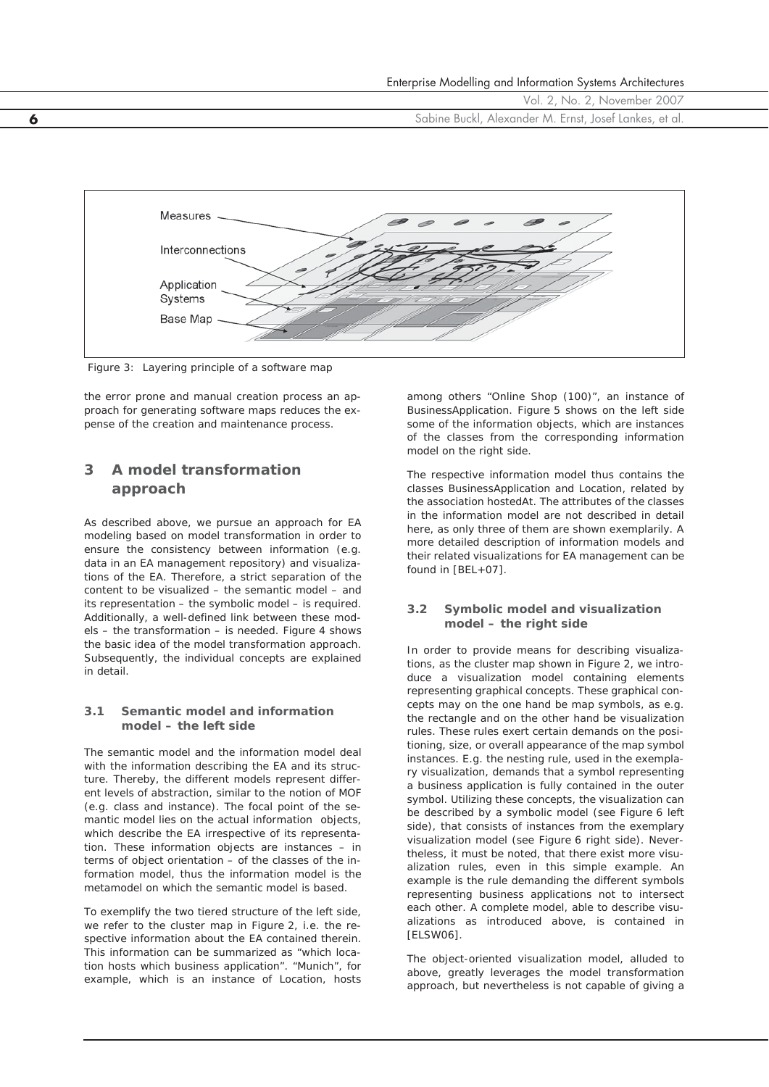



*Figure 3: Layering principle of a software map*

the error prone and manual creation process an approach for generating software maps reduces the expense of the creation and maintenance process.

# **3 A model transformation approach**

As described above, we pursue an approach for EA modeling based on model transformation in order to ensure the consistency between information (e.g. data in an EA management repository) and visualizations of the EA. Therefore, a strict separation of the content to be visualized – the semantic model – and its representation – the symbolic model – is required. Additionally, a well-defined link between these models – the transformation – is needed. Figure 4 shows the basic idea of the model transformation approach. Subsequently, the individual concepts are explained in detail.

### **3.1 Semantic model and information model – the** *left* **side**

The semantic model and the information model deal with the information describing the EA and its structure. Thereby, the different models represent different levels of abstraction, similar to the notion of MOF (e.g. class and instance). The focal point of the semantic model lies on the actual information objects, which describe the EA irrespective of its representation. These information objects are instances – in terms of object orientation – of the classes of the information model, thus the information model is the metamodel on which the semantic model is based.

To exemplify the two tiered structure of the *left* side, we refer to the cluster map in Figure 2, i.e. the respective information about the EA contained therein. This information can be summarized as "which location hosts which business application". "Munich", for example, which is an instance of Location, hosts

among others "Online Shop (100)", an instance of BusinessApplication. Figure 5 shows on the left side some of the information objects, which are instances of the classes from the corresponding information model on the right side.

The respective information model thus contains the classes BusinessApplication and Location, related by the association hostedAt. The attributes of the classes in the information model are not described in detail here, as only three of them are shown exemplarily. A more detailed description of information models and their related visualizations for EA management can be found in [BEL+07].

## **3.2 Symbolic model and visualization model – the** *right* **side**

In order to provide means for describing visualizations, as the cluster map shown in Figure 2, we introduce a visualization model containing elements representing graphical concepts. These graphical concepts may on the one hand be map symbols, as e.g. the rectangle and on the other hand be visualization rules. These rules exert certain demands on the positioning, size, or overall appearance of the map symbol instances. E.g. the nesting rule, used in the exemplary visualization, demands that a symbol representing a business application is fully contained in the outer symbol. Utilizing these concepts, the visualization can be described by a symbolic model (see Figure 6 left side), that consists of instances from the exemplary visualization model (see Figure 6 right side). Nevertheless, it must be noted, that there exist more visualization rules, even in this simple example. An example is the rule demanding the different symbols representing business applications not to intersect each other. A complete model, able to describe visualizations as introduced above, is contained in [ELSW06].

The object-oriented visualization model, alluded to above, greatly leverages the model transformation approach, but nevertheless is not capable of giving a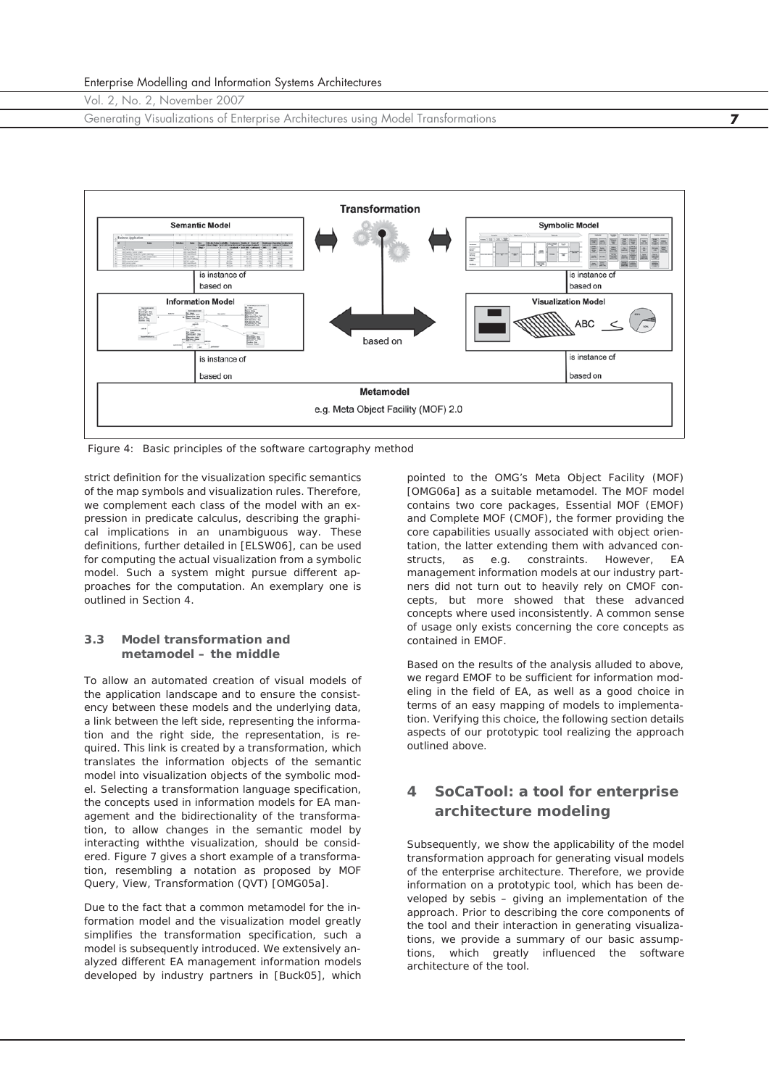Generating Visualizations of Enterprise Architectures using Model Transformations **7**



*Figure 4: Basic principles of the software cartography method*

strict definition for the visualization specific semantics of the map symbols and visualization rules. Therefore, we complement each class of the model with an expression in predicate calculus, describing the graphical implications in an unambiguous way. These definitions, further detailed in [ELSW06], can be used for computing the actual visualization from a symbolic model. Such a system might pursue different approaches for the computation. An exemplary one is outlined in Section 4.

### **3.3 Model transformation and metamodel – the** *middle*

To allow an automated creation of visual models of the application landscape and to ensure the consistency between these models and the underlying data, a link between the *left* side, representing the information and the *right* side, the representation, is required. This link is created by a transformation, which translates the information objects of the semantic model into visualization objects of the symbolic model. Selecting a transformation language specification, the concepts used in information models for EA management and the bidirectionality of the transformation, to allow changes in the semantic model by interacting withthe visualization, should be considered. Figure 7 gives a short example of a transformation, resembling a notation as proposed by MOF Query, View, Transformation (QVT) [OMG05a].

Due to the fact that a common metamodel for the information model and the visualization model greatly simplifies the transformation specification, such a model is subsequently introduced. We extensively analyzed different EA management information models developed by industry partners in [Buck05], which

pointed to the OMG's Meta Object Facility (MOF) [OMG06a] as a suitable metamodel. The MOF model contains two core packages, Essential MOF (EMOF) and Complete MOF (CMOF), the former providing the core capabilities usually associated with object orientation, the latter extending them with advanced constructs, as e.g. constraints. However, EA management information models at our industry partners did not turn out to heavily rely on CMOF concepts, but more showed that these advanced concepts where used inconsistently. A common sense of usage only exists concerning the core concepts as contained in EMOF.

Based on the results of the analysis alluded to above, we regard EMOF to be sufficient for information modeling in the field of EA, as well as a good choice in terms of an easy mapping of models to implementation. Verifying this choice, the following section details aspects of our prototypic tool realizing the approach outlined above.

## **4 SoCaTool: a tool for enterprise architecture modeling**

Subsequently, we show the applicability of the model transformation approach for generating visual models of the enterprise architecture. Therefore, we provide information on a prototypic tool, which has been developed by sebis – giving an implementation of the approach. Prior to describing the core components of the tool and their interaction in generating visualizations, we provide a summary of our basic assumptions, which greatly influenced the software architecture of the tool.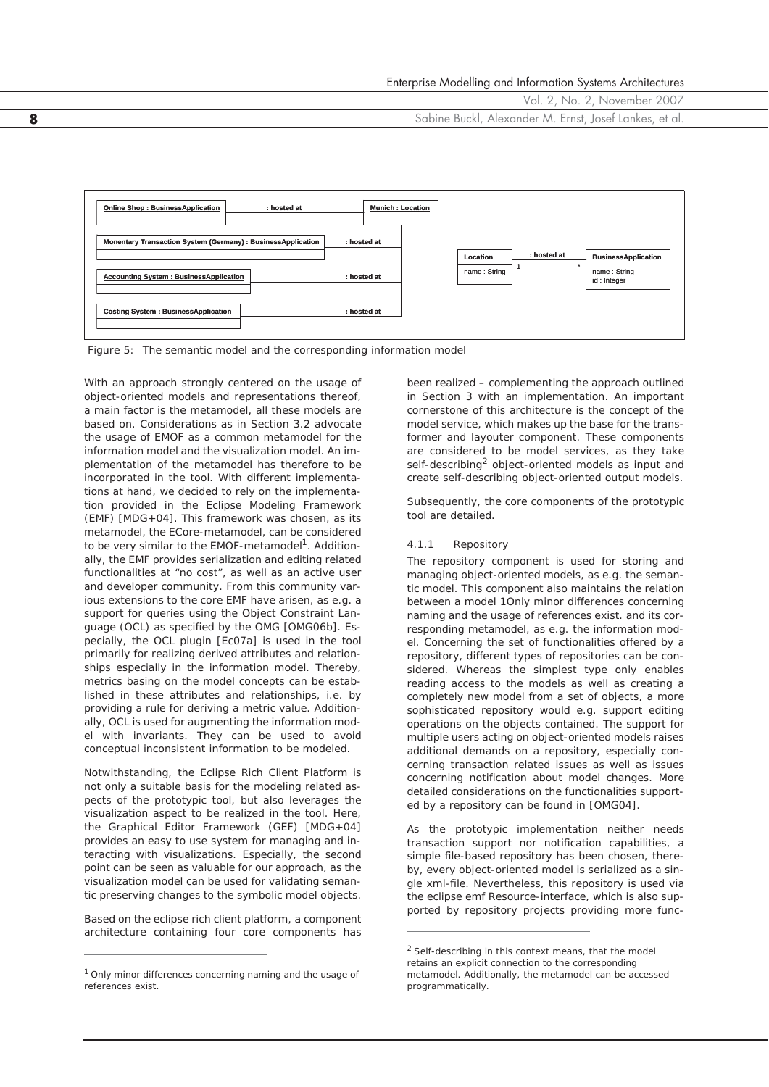**8** Sabine Buckl, Alexander M. Ernst, Josef Lankes, et al.



*Figure 5: The semantic model and the corresponding information model*

With an approach strongly centered on the usage of object-oriented models and representations thereof, a main factor is the metamodel, all these models are based on. Considerations as in Section 3.2 advocate the usage of EMOF as a common metamodel for the information model and the visualization model. An implementation of the metamodel has therefore to be incorporated in the tool. With different implementations at hand, we decided to rely on the implementation provided in the Eclipse Modeling Framework (EMF) [MDG+04]. This framework was chosen, as its metamodel, the ECore-metamodel, can be considered to be very similar to the EMOF-metamodel<sup>1</sup>. Additionally, the EMF provides serialization and editing related functionalities at "no cost", as well as an active user and developer community. From this community various extensions to the core EMF have arisen, as e.g. a support for queries using the Object Constraint Language (OCL) as specified by the OMG [OMG06b]. Especially, the OCL plugin [Ec07a] is used in the tool primarily for realizing derived attributes and relationships especially in the information model. Thereby, metrics basing on the model concepts can be established in these attributes and relationships, i.e. by providing a rule for deriving a metric value. Additionally, OCL is used for augmenting the information model with invariants. They can be used to avoid conceptual inconsistent information to be modeled.

Notwithstanding, the Eclipse Rich Client Platform is not only a suitable basis for the modeling related aspects of the prototypic tool, but also leverages the visualization aspect to be realized in the tool. Here, the Graphical Editor Framework (GEF) [MDG+04] provides an easy to use system for managing and interacting with visualizations. Especially, the second point can be seen as valuable for our approach, as the visualization model can be used for validating semantic preserving changes to the symbolic model objects.

Based on the eclipse rich client platform, a component architecture containing four core components has

been realized – complementing the approach outlined in Section 3 with an implementation. An important cornerstone of this architecture is the concept of the *model service*, which makes up the base for the transformer and layouter component. These components are considered to be model services, as they take self-describing<sup>2</sup> object-oriented models as input and create self-describing object-oriented output models.

Subsequently, the core components of the prototypic tool are detailed.

#### *4.1.1 Repository*

The repository component is used for storing and managing object-oriented models, as e.g. the semantic model. This component also maintains the relation between a model 1Only minor differences concerning naming and the usage of references exist. and its corresponding metamodel, as e.g. the information model. Concerning the set of functionalities offered by a repository, different types of repositories can be considered. Whereas the simplest type only enables reading access to the models as well as creating a completely new model from a set of objects, a more sophisticated repository would e.g. support editing operations on the objects contained. The support for multiple users acting on object-oriented models raises additional demands on a repository, especially concerning transaction related issues as well as issues concerning notification about model changes. More detailed considerations on the functionalities supported by a repository can be found in [OMG04].

As the prototypic implementation neither needs transaction support nor notification capabilities, a simple file-based repository has been chosen, thereby, every object-oriented model is serialized as a single xml-file. Nevertheless, this repository is used via the eclipse emf Resource-interface, which is also supported by repository projects providing more func-

<sup>&</sup>lt;sup>1</sup> Only minor differences concerning naming and the usage of references exist.

<sup>2</sup>*Self-describing* in this context means, that the model retains an explicit connection to the corresponding metamodel. Additionally, the metamodel can be accessed programmatically.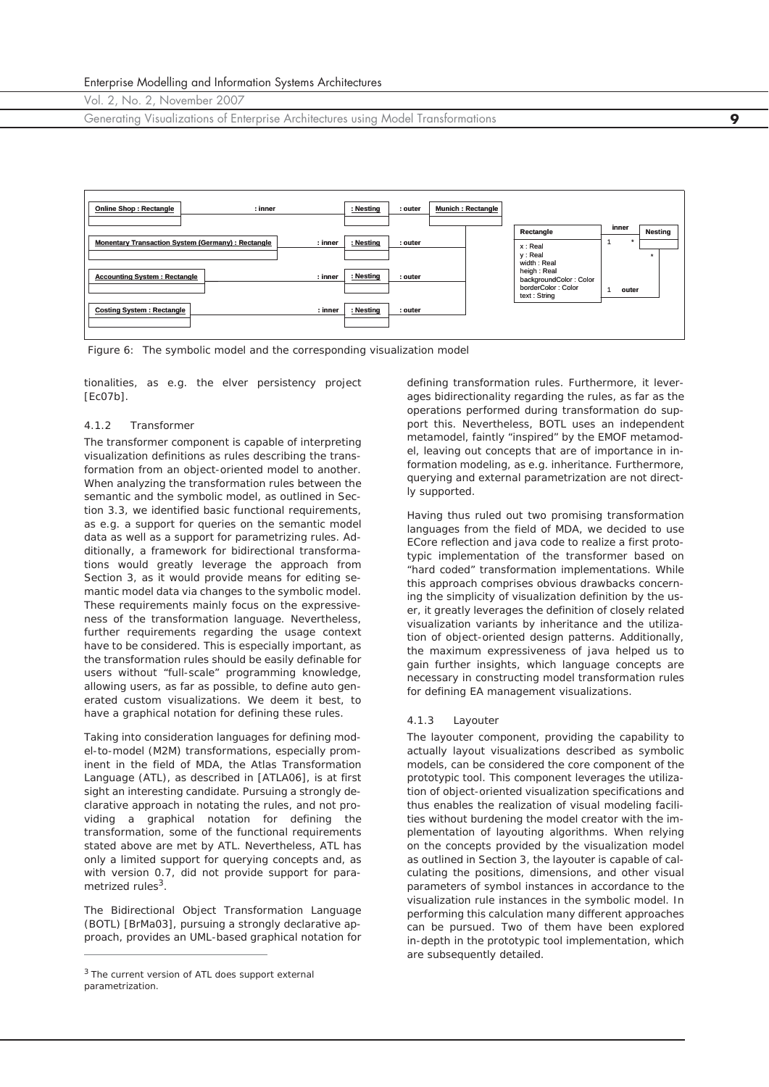Generating Visualizations of Enterprise Architectures using Model Transformations **9**



*Figure 6: The symbolic model and the corresponding visualization model*

tionalities, as e.g. the elver persistency project  $[ECO7b]$ .

#### *4.1.2 Transformer*

The transformer component is capable of interpreting visualization definitions as rules describing the transformation from an object-oriented model to another. When analyzing the transformation rules between the semantic and the symbolic model, as outlined in Section 3.3, we identified basic functional requirements, as e.g. a support for queries on the semantic model data as well as a support for parametrizing rules. Additionally, a framework for bidirectional transformations would greatly leverage the approach from Section 3, as it would provide means for editing semantic model data via changes to the symbolic model. These requirements mainly focus on the expressiveness of the transformation language. Nevertheless, further requirements regarding the usage context have to be considered. This is especially important, as the transformation rules should be easily definable for users without "full-scale" programming knowledge, allowing users, as far as possible, to define auto generated custom visualizations. We deem it best, to have a graphical notation for defining these rules.

Taking into consideration languages for defining model-to-model (M2M) transformations, especially prominent in the field of MDA, the Atlas Transformation Language (ATL), as described in [ATLA06], is at first sight an interesting candidate. Pursuing a strongly declarative approach in notating the rules, and not providing a graphical notation for defining the transformation, some of the functional requirements stated above are met by ATL. Nevertheless, ATL has only a limited support for querying concepts and, as with version 0.7, did not provide support for parametrized rules<sup>3</sup>.

The Bidirectional Object Transformation Language (BOTL) [BrMa03], pursuing a strongly declarative approach, provides an UML-based graphical notation for

defining transformation rules. Furthermore, it leverages bidirectionality regarding the rules, as far as the operations performed during transformation do support this. Nevertheless, BOTL uses an independent metamodel, faintly "inspired" by the EMOF metamodel, leaving out concepts that are of importance in information modeling, as e.g. inheritance. Furthermore, querying and external parametrization are not directly supported.

Having thus ruled out two promising transformation languages from the field of MDA, we decided to use ECore reflection and java code to realize a first prototypic implementation of the transformer based on "hard coded" transformation implementations. While this approach comprises obvious drawbacks concerning the simplicity of visualization definition by the user, it greatly leverages the definition of closely related visualization variants by inheritance and the utilization of object-oriented design patterns. Additionally, the maximum expressiveness of java helped us to gain further insights, which language concepts are necessary in constructing model transformation rules for defining EA management visualizations.

#### *4.1.3 Layouter*

The layouter component, providing the capability to actually layout visualizations described as symbolic models, can be considered the core component of the prototypic tool. This component leverages the utilization of object-oriented visualization specifications and thus enables the realization of visual modeling facilities without burdening the model creator with the implementation of layouting algorithms. When relying on the concepts provided by the visualization model as outlined in Section 3, the layouter is capable of calculating the positions, dimensions, and other visual parameters of symbol instances in accordance to the visualization rule instances in the symbolic model. In performing this calculation many different approaches can be pursued. Two of them have been explored in-depth in the prototypic tool implementation, which are subsequently detailed.

<sup>&</sup>lt;sup>3</sup> The current version of ATL does support external parametrization.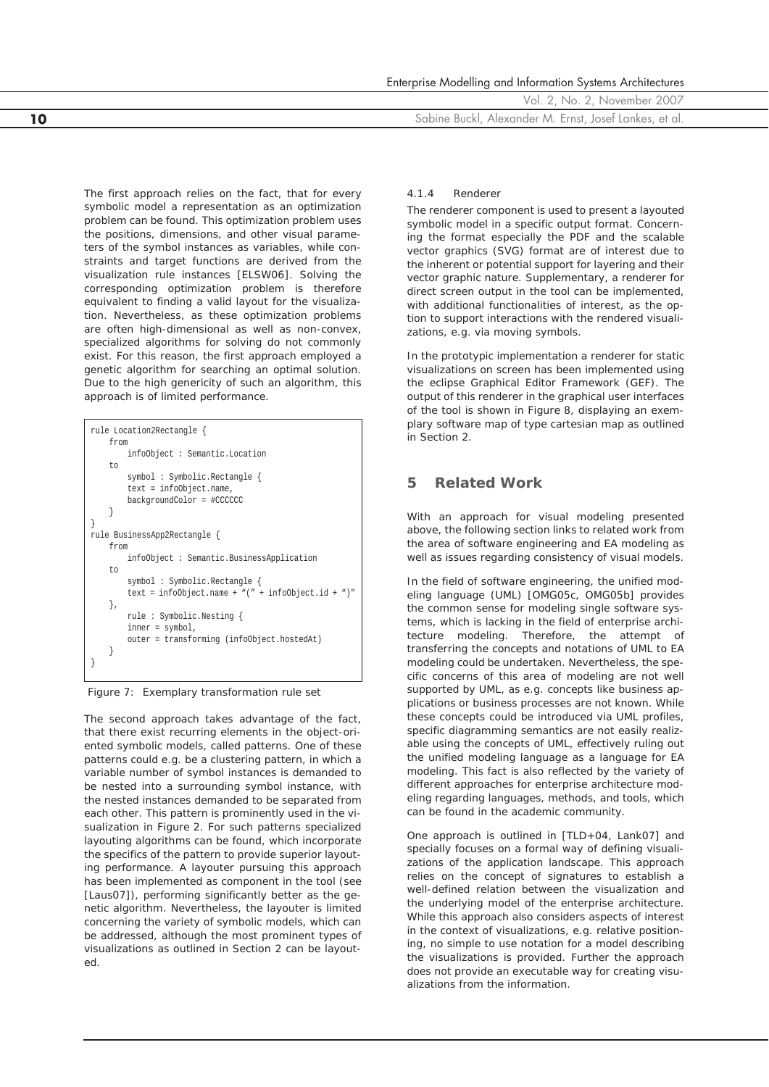Enterprise Modelling and Information Systems Architectures

Vol. 2, No. 2, November 2007

**10** Sabine Buckl, Alexander M. Ernst, Josef Lankes, et al.

The first approach relies on the fact, that for every symbolic model a representation as an optimization problem can be found. This optimization problem uses the positions, dimensions, and other visual parameters of the symbol instances as variables, while constraints and target functions are derived from the visualization rule instances [ELSW06]. Solving the corresponding optimization problem is therefore equivalent to finding a valid layout for the visualization. Nevertheless, as these optimization problems are often high-dimensional as well as non-convex, specialized algorithms for solving do not commonly exist. For this reason, the first approach employed a genetic algorithm for searching an optimal solution. Due to the high genericity of such an algorithm, this approach is of limited performance.

| rule Location2Rectangle {                            |  |  |  |  |  |  |  |  |
|------------------------------------------------------|--|--|--|--|--|--|--|--|
| from                                                 |  |  |  |  |  |  |  |  |
| infoObject: Semantic.Location                        |  |  |  |  |  |  |  |  |
| t.o                                                  |  |  |  |  |  |  |  |  |
| symbol: Symbolic.Rectangle {                         |  |  |  |  |  |  |  |  |
| $text = infoObject.name,$                            |  |  |  |  |  |  |  |  |
| backgroundColor = #CCCCCC                            |  |  |  |  |  |  |  |  |
|                                                      |  |  |  |  |  |  |  |  |
|                                                      |  |  |  |  |  |  |  |  |
| rule BusinessApp2Rectangle {                         |  |  |  |  |  |  |  |  |
| from                                                 |  |  |  |  |  |  |  |  |
| infoObject: Semantic.BusinessApplication             |  |  |  |  |  |  |  |  |
| t.o                                                  |  |  |  |  |  |  |  |  |
| symbol: Symbolic.Rectangle {                         |  |  |  |  |  |  |  |  |
| text = infoObject.name + $"(" + infoObject.id + ")"$ |  |  |  |  |  |  |  |  |
| },                                                   |  |  |  |  |  |  |  |  |
| rule: Symbolic.Nesting {                             |  |  |  |  |  |  |  |  |
| $inner = symbol,$                                    |  |  |  |  |  |  |  |  |
| outer = transforming (infoObject.hostedAt)           |  |  |  |  |  |  |  |  |
|                                                      |  |  |  |  |  |  |  |  |
|                                                      |  |  |  |  |  |  |  |  |

*Figure 7: Exemplary transformation rule set*

The second approach takes advantage of the fact, that there exist recurring elements in the object-oriented symbolic models, called patterns. One of these patterns could e.g. be a clustering pattern, in which a variable number of symbol instances is demanded to be nested into a surrounding symbol instance, with the nested instances demanded to be separated from each other. This pattern is prominently used in the visualization in Figure 2. For such patterns specialized layouting algorithms can be found, which incorporate the specifics of the pattern to provide superior layouting performance. A layouter pursuing this approach has been implemented as component in the tool (see [Laus07]), performing significantly better as the genetic algorithm. Nevertheless, the layouter is limited concerning the variety of symbolic models, which can be addressed, although the most prominent types of visualizations as outlined in Section 2 can be layouted.

#### *4.1.4 Renderer*

The renderer component is used to present a layouted symbolic model in a specific output format. Concerning the format especially the PDF and the scalable vector graphics (SVG) format are of interest due to the inherent or potential support for layering and their vector graphic nature. Supplementary, a renderer for direct screen output in the tool can be implemented, with additional functionalities of interest, as the option to support interactions with the rendered visualizations, e.g. via moving symbols.

In the prototypic implementation a renderer for static visualizations on screen has been implemented using the eclipse Graphical Editor Framework (GEF). The output of this renderer in the graphical user interfaces of the tool is shown in Figure 8, displaying an exemplary software map of type cartesian map as outlined in Section 2.

## **5 Related Work**

With an approach for visual modeling presented above, the following section links to related work from the area of software engineering and EA modeling as well as issues regarding consistency of visual models.

In the field of software engineering, the unified modeling language (UML) [OMG05c, OMG05b] provides the common sense for modeling single software systems, which is lacking in the field of enterprise architecture modeling. Therefore, the attempt of transferring the concepts and notations of UML to EA modeling could be undertaken. Nevertheless, the specific concerns of this area of modeling are not well supported by UML, as e.g. concepts like business applications or business processes are not known. While these concepts could be introduced via UML profiles, specific diagramming semantics are not easily realizable using the concepts of UML, effectively ruling out the unified modeling language as a language for EA modeling. This fact is also reflected by the variety of different approaches for enterprise architecture modeling regarding languages, methods, and tools, which can be found in the academic community.

One approach is outlined in [TLD+04, Lank07] and specially focuses on a formal way of defining visualizations of the application landscape. This approach relies on the concept of signatures to establish a well-defined relation between the visualization and the underlying model of the enterprise architecture. While this approach also considers aspects of interest in the context of visualizations, e.g. relative positioning, no simple to use notation for a model describing the visualizations is provided. Further the approach does not provide an executable way for creating visualizations from the information.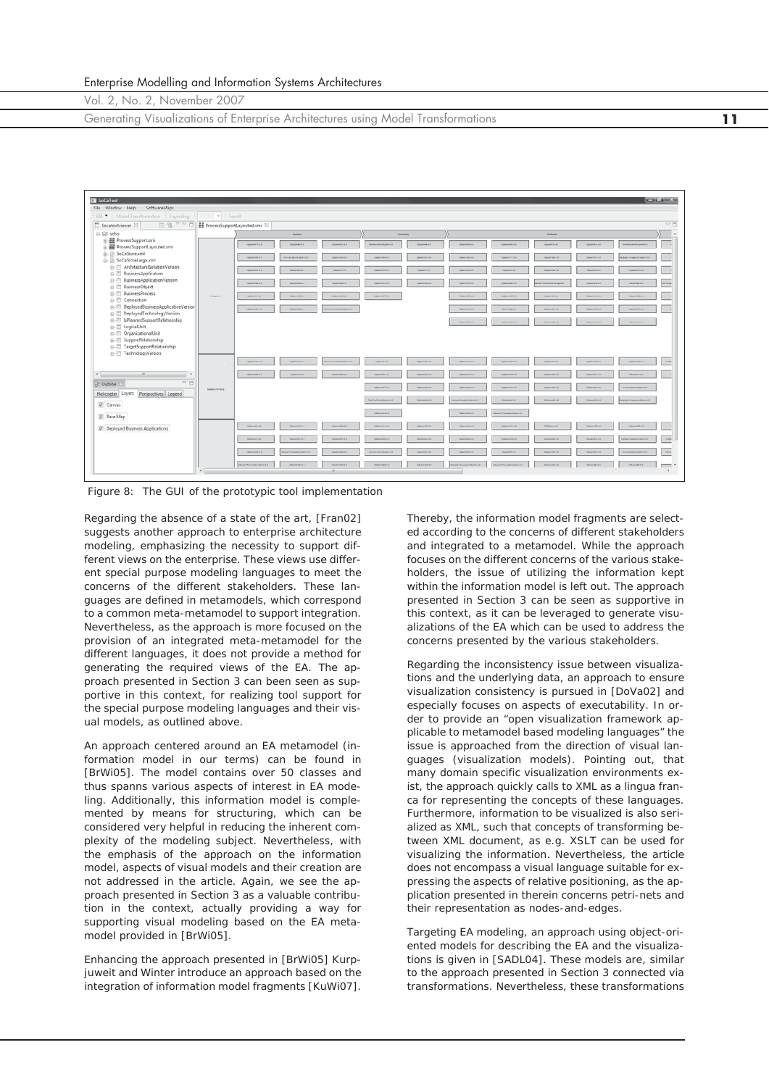Generating Visualizations of Enterprise Architectures using Model Transformations **11**



*Figure 8: The GUI of the prototypic tool implementation*

Regarding the absence of a state of the art, [Fran02] suggests another approach to enterprise architecture modeling, emphasizing the necessity to support different views on the enterprise. These views use different special purpose modeling languages to meet the concerns of the different stakeholders. These languages are defined in metamodels, which correspond to a common meta-metamodel to support integration. Nevertheless, as the approach is more focused on the provision of an integrated meta-metamodel for the different languages, it does not provide a method for generating the required views of the EA. The approach presented in Section 3 can been seen as supportive in this context, for realizing tool support for the special purpose modeling languages and their visual models, as outlined above.

An approach centered around an EA metamodel (information model in our terms) can be found in [BrWi05]. The model contains over 50 classes and thus spanns various aspects of interest in EA modeling. Additionally, this information model is complemented by means for structuring, which can be considered very helpful in reducing the inherent complexity of the modeling subject. Nevertheless, with the emphasis of the approach on the information model, aspects of visual models and their creation are not addressed in the article. Again, we see the approach presented in Section 3 as a valuable contribution in the context, actually providing a way for supporting visual modeling based on the EA metamodel provided in [BrWi05].

Enhancing the approach presented in [BrWi05] Kurpjuweit and Winter introduce an approach based on the integration of information model fragments [KuWi07].

Thereby, the information model fragments are selected according to the concerns of different stakeholders and integrated to a metamodel. While the approach focuses on the different concerns of the various stakeholders, the issue of utilizing the information kept within the information model is left out. The approach presented in Section 3 can be seen as supportive in this context, as it can be leveraged to generate visualizations of the EA which can be used to address the concerns presented by the various stakeholders.

Regarding the inconsistency issue between visualizations and the underlying data, an approach to ensure visualization consistency is pursued in [DoVa02] and especially focuses on aspects of executability. In order to provide an "open visualization framework applicable to metamodel based modeling languages" the issue is approached from the direction of visual languages (visualization models). Pointing out, that many domain specific visualization environments exist, the approach quickly calls to XML as a lingua franca for representing the concepts of these languages. Furthermore, information to be visualized is also serialized as XML, such that concepts of transforming between XML document, as e.g. XSLT can be used for visualizing the information. Nevertheless, the article does not encompass a visual language suitable for expressing the aspects of relative positioning, as the application presented in therein concerns petri-nets and their representation as nodes-and-edges.

Targeting EA modeling, an approach using object-oriented models for describing the EA and the visualizations is given in [SADL04]. These models are, similar to the approach presented in Section 3 connected via transformations. Nevertheless, these transformations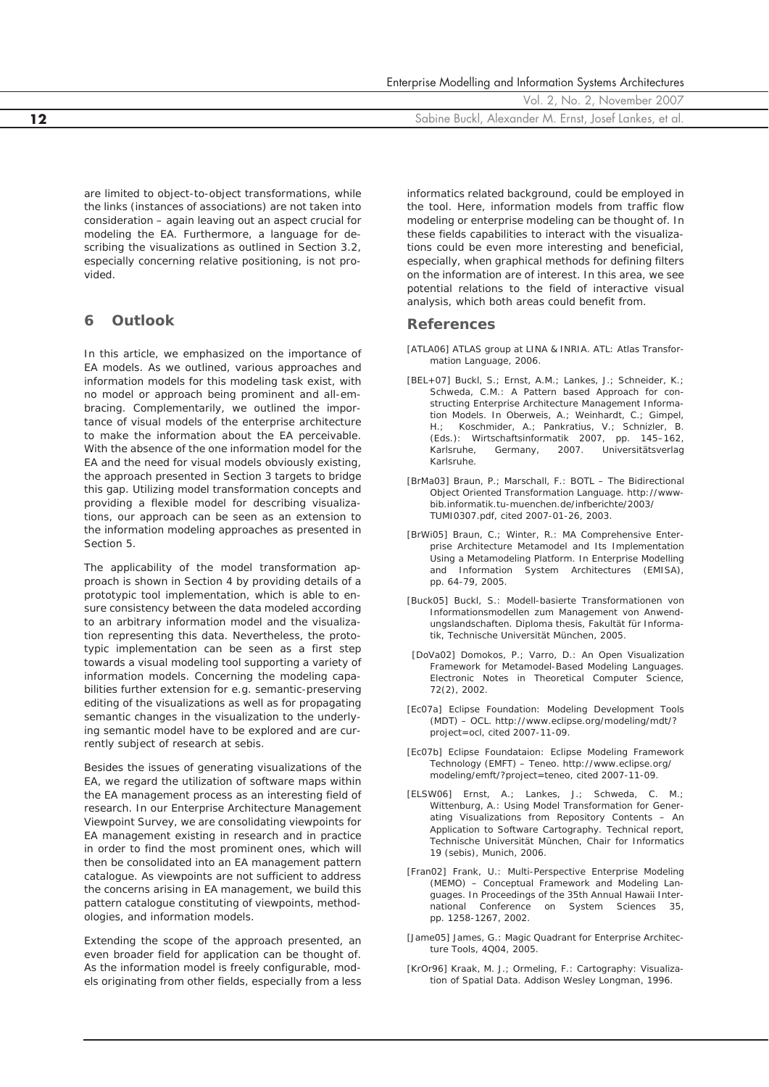|  |  |  | Enterprise Modelling and Information Systems Architectures |
|--|--|--|------------------------------------------------------------|
|  |  |  |                                                            |

**12** Sabine Buckl, Alexander M. Ernst, Josef Lankes, et al.

are limited to object-to-object transformations, while the links (instances of associations) are not taken into consideration – again leaving out an aspect crucial for modeling the EA. Furthermore, a language for describing the visualizations as outlined in Section 3.2, especially concerning relative positioning, is not provided.

## **6 Outlook**

In this article, we emphasized on the importance of EA models. As we outlined, various approaches and information models for this modeling task exist, with no model or approach being prominent and all-embracing. Complementarily, we outlined the importance of visual models of the enterprise architecture to make the information about the EA perceivable. With the absence of the one information model for the EA and the need for visual models obviously existing, the approach presented in Section 3 targets to bridge this gap. Utilizing model transformation concepts and providing a flexible model for describing visualizations, our approach can be seen as an extension to the information modeling approaches as presented in Section 5.

The applicability of the model transformation approach is shown in Section 4 by providing details of a prototypic tool implementation, which is able to ensure consistency between the data modeled according to an arbitrary information model and the visualization representing this data. Nevertheless, the prototypic implementation can be seen as a first step towards a visual modeling tool supporting a variety of information models. Concerning the modeling capabilities further extension for e.g. semantic-preserving editing of the visualizations as well as for propagating semantic changes in the visualization to the underlying semantic model have to be explored and are currently subject of research at sebis.

Besides the issues of generating visualizations of the EA, we regard the utilization of software maps within the EA management process as an interesting field of research. In our Enterprise Architecture Management Viewpoint Survey, we are consolidating viewpoints for EA management existing in research and in practice in order to find the most prominent ones, which will then be consolidated into an EA management pattern catalogue. As viewpoints are not sufficient to address the concerns arising in EA management, we build this pattern catalogue constituting of viewpoints, methodologies, and information models.

Extending the scope of the approach presented, an even broader field for application can be thought of. As the information model is freely configurable, models originating from other fields, especially from a less

informatics related background, could be employed in the tool. Here, information models from traffic flow modeling or enterprise modeling can be thought of. In these fields capabilities to interact with the visualizations could be even more interesting and beneficial, especially, when graphical methods for defining filters on the information are of interest. In this area, we see potential relations to the field of interactive visual analysis, which both areas could benefit from.

### **References**

- [ATLA06] ATLAS group at LINA & INRIA. ATL: Atlas Transformation Language, 2006.
- [BEL+07] Buckl, S.; Ernst, A.M.; Lankes, J.; Schneider, K.; Schweda, C.M.: A Pattern based Approach for constructing Enterprise Architecture Management Information Models. In Oberweis, A.; Weinhardt, C.; Gimpel, H.; Koschmider, A.; Pankratius, V.; Schnizler, B. (Eds.): Wirtschaftsinformatik 2007, pp. 145–162, Karlsruhe, Germany, 2007. Universitätsverlag Karlsruhe.
- [BrMa03] Braun, P.; Marschall, F.: BOTL The Bidirectional Object Oriented Transformation Language. http://wwwbib.informatik.tu-muenchen.de/infberichte/2003/ TUMI0307.pdf, cited 2007-01-26, 2003.
- [BrWi05] Braun, C.; Winter, R.: MA Comprehensive Enterprise Architecture Metamodel and Its Implementation Using a Metamodeling Platform. In Enterprise Modelling and Information System Architectures (EMISA), pp. 64-79, 2005.
- [Buck05] Buckl, S.: Modell-basierte Transformationen von Informationsmodellen zum Management von Anwendungslandschaften. Diploma thesis, Fakultät für Informatik, Technische Universität München, 2005.
- [DoVa02] Domokos, P.; Varro, D.: An Open Visualization Framework for Metamodel-Based Modeling Languages. Electronic Notes in Theoretical Computer Science, 72(2), 2002.
- [Ec07a] Eclipse Foundation: Modeling Development Tools (MDT) – OCL. http://www.eclipse.org/modeling/mdt/? project=ocl, cited 2007-11-09.
- [Ec07b] Eclipse Foundataion: Eclipse Modeling Framework Technology (EMFT) – Teneo. http://www.eclipse.org/ modeling/emft/?project=teneo, cited 2007-11-09.
- [ELSW06] Ernst, A.; Lankes, J.; Schweda, C. M.; Wittenburg, A.: Using Model Transformation for Generating Visualizations from Repository Contents – An Application to Software Cartography. Technical report, Technische Universität München, Chair for Informatics 19 (sebis), Munich, 2006.
- [Fran02] Frank, U.: Multi-Perspective Enterprise Modeling (MEMO) – Conceptual Framework and Modeling Languages. In Proceedings of the 35th Annual Hawaii International Conference on System Sciences 35, pp. 1258-1267, 2002.
- [Jame05] James, G.: Magic Quadrant for Enterprise Architecture Tools, 4Q04, 2005.
- [KrOr96] Kraak, M. J.; Ormeling, F.: Cartography: Visualization of Spatial Data. Addison Wesley Longman, 1996.